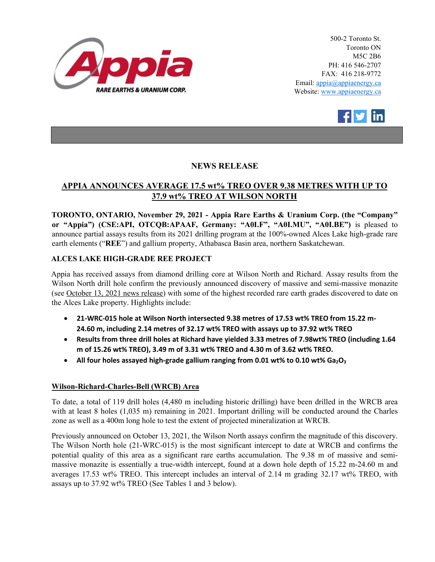

500-2 Toronto St. Toronto ON M5C 2B6 PH: 416 546-2707 FAX: 416 218-9772 Email: appia@appiaenergy.ca Website: www.appiaenergy.ca



## **NEWS RELEASE**

# **APPIA ANNOUNCES AVERAGE 17.5 wt% TREO OVER 9.38 METRES WITH UP TO 37.9 wt% TREO AT WILSON NORTH**

**TORONTO, ONTARIO, November 29, 2021 - Appia Rare Earths & Uranium Corp. (the "Company" or "Appia") (CSE:API, OTCQB:APAAF, Germany: "A0I.F", "A0I.MU", "A0I.BE")** is pleased to announce partial assays results from its 2021 drilling program at the 100%-owned Alces Lake high-grade rare earth elements ("**REE**") and gallium property, Athabasca Basin area, northern Saskatchewan.

### **ALCES LAKE HIGH-GRADE REE PROJECT**

Appia has received assays from diamond drilling core at Wilson North and Richard. Assay results from the Wilson North drill hole confirm the previously announced discovery of massive and semi-massive monazite (see [October 13, 2021 news release\)](https://www.appiaenergy.ca/_resources/news/nr-20211013.pdf) with some of the highest recorded rare earth grades discovered to date on the Alces Lake property. Highlights include:

- **21-WRC-015 hole at Wilson North intersected 9.38 metres of 17.53 wt% TREO from 15.22 m-24.60 m, including 2.14 metres of 32.17 wt% TREO with assays up to 37.92 wt% TREO**
- **Results from three drill holes at Richard have yielded 3.33 metres of 7.98wt% TREO (including 1.64 m of 15.26 wt% TREO), 3.49 m of 3.31 wt% TREO and 4.30 m of 3.62 wt% TREO.**
- All four holes assayed high-grade gallium ranging from 0.01 wt% to 0.10 wt% Ga<sub>2</sub>O<sub>3</sub>

### **Wilson-Richard-Charles-Bell (WRCB) Area**

To date, a total of 119 drill holes (4,480 m including historic drilling) have been drilled in the WRCB area with at least 8 holes (1,035 m) remaining in 2021. Important drilling will be conducted around the Charles zone as well as a 400m long hole to test the extent of projected mineralization at WRCB.

Previously announced on October 13, 2021, the Wilson North assays confirm the magnitude of this discovery. The Wilson North hole (21-WRC-015) is the most significant intercept to date at WRCB and confirms the potential quality of this area as a significant rare earths accumulation. The 9.38 m of massive and semimassive monazite is essentially a true-width intercept, found at a down hole depth of 15.22 m-24.60 m and averages 17.53 wt% TREO. This intercept includes an interval of 2.14 m grading 32.17 wt% TREO, with assays up to 37.92 wt% TREO (See Tables 1 and 3 below).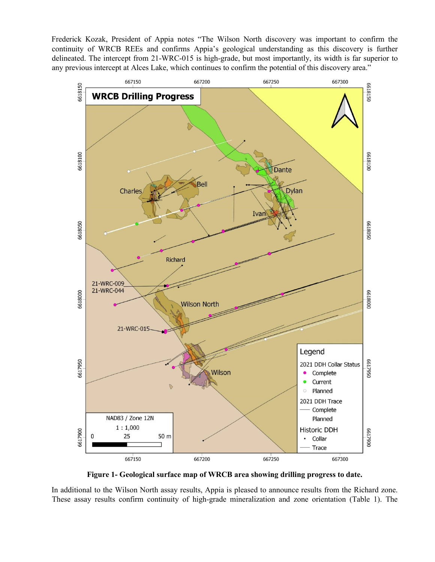Frederick Kozak, President of Appia notes "The Wilson North discovery was important to confirm the continuity of WRCB REEs and confirms Appia's geological understanding as this discovery is further delineated. The intercept from 21-WRC-015 is high-grade, but most importantly, its width is far superior to any previous intercept at Alces Lake, which continues to confirm the potential of this discovery area."



**Figure 1- Geological surface map of WRCB area showing drilling progress to date.**

In additional to the Wilson North assay results, Appia is pleased to announce results from the Richard zone. These assay results confirm continuity of high-grade mineralization and zone orientation (Table 1). The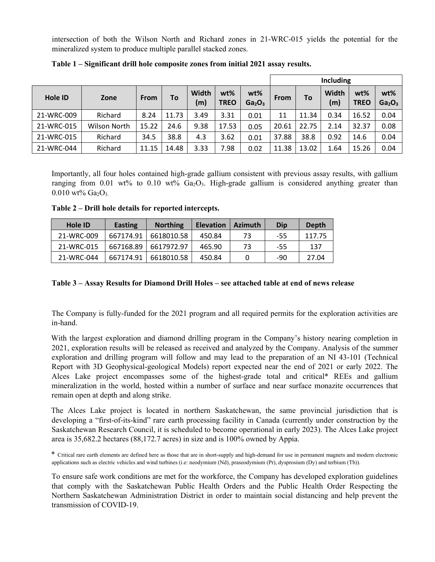intersection of both the Wilson North and Richard zones in 21-WRC-015 yields the potential for the mineralized system to produce multiple parallel stacked zones.

|                |                     |             |           |              |                    |                                          | <b>Including</b> |       |              |                       |                                       |  |  |  |  |
|----------------|---------------------|-------------|-----------|--------------|--------------------|------------------------------------------|------------------|-------|--------------|-----------------------|---------------------------------------|--|--|--|--|
| <b>Hole ID</b> | Zone                | <b>From</b> | <b>To</b> | Width<br>(m) | wt%<br><b>TREO</b> | $wt\%$<br>Ga <sub>2</sub> O <sub>3</sub> | <b>From</b>      | To    | Width<br>(m) | $wt\%$<br><b>TREO</b> | wt%<br>Ga <sub>2</sub> O <sub>3</sub> |  |  |  |  |
| 21-WRC-009     | Richard             | 8.24        | 11.73     | 3.49         | 3.31               | 0.01                                     | 11               | 11.34 | 0.34         | 16.52                 | 0.04                                  |  |  |  |  |
| 21-WRC-015     | <b>Wilson North</b> | 15.22       | 24.6      | 9.38         | 17.53              | 0.05                                     | 20.61            | 22.75 | 2.14         | 32.37                 | 0.08                                  |  |  |  |  |
| 21-WRC-015     | Richard             | 34.5        | 38.8      | 4.3          | 3.62               | 0.01                                     | 37.88            | 38.8  | 0.92         | 14.6                  | 0.04                                  |  |  |  |  |
| 21-WRC-044     | Richard             | 11.15       | 14.48     | 3.33         | 7.98               | 0.02                                     | 11.38            | 13.02 | 1.64         | 15.26                 | 0.04                                  |  |  |  |  |

**Table 1 – Significant drill hole composite zones from initial 2021 assay results.**

Importantly, all four holes contained high-grade gallium consistent with previous assay results, with gallium ranging from 0.01 wt% to 0.10 wt%  $Ga_2O_3$ . High-grade gallium is considered anything greater than  $0.010 \text{ wt} \%$  Ga<sub>2</sub>O<sub>3</sub>.

**Table 2 – Drill hole details for reported intercepts.**

| Hole ID    | Easting   | <b>Northing</b> | <b>Elevation</b> | <b>Azimuth</b> | Dip | Depth  |
|------------|-----------|-----------------|------------------|----------------|-----|--------|
| 21-WRC-009 | 667174.91 | 6618010.58      | 450.84           | 73             | -55 | 117.75 |
| 21-WRC-015 | 667168.89 | 6617972.97      | 465.90           | 73             | -55 | 137    |
| 21-WRC-044 | 667174.91 | 6618010.58      | 450.84           |                | -90 | 27.04  |

#### **Table 3 – Assay Results for Diamond Drill Holes – see attached table at end of news release**

The Company is fully-funded for the 2021 program and all required permits for the exploration activities are in-hand.

With the largest exploration and diamond drilling program in the Company's history nearing completion in 2021, exploration results will be released as received and analyzed by the Company. Analysis of the summer exploration and drilling program will follow and may lead to the preparation of an NI 43-101 (Technical Report with 3D Geophysical-geological Models) report expected near the end of 2021 or early 2022. The Alces Lake project encompasses some of the highest-grade total and critical\* REEs and gallium mineralization in the world, hosted within a number of surface and near surface monazite occurrences that remain open at depth and along strike.

The Alces Lake project is located in northern Saskatchewan, the same provincial jurisdiction that is developing a "first-of-its-kind" rare earth processing facility in Canada (currently under construction by the Saskatchewan Research Council, it is scheduled to become operational in early 2023). The Alces Lake project area is 35,682.2 hectares (88,172.7 acres) in size and is 100% owned by Appia.

\* Critical rare earth elements are defined here as those that are in short-supply and high-demand for use in permanent magnets and modern electronic applications such as electric vehicles and wind turbines (i.e: neodymium (Nd), praseodymium (Pr), dysprosium (Dy) and terbium (Tb)).

To ensure safe work conditions are met for the workforce, the Company has developed exploration guidelines that comply with the Saskatchewan Public Health Orders and the Public Health Order Respecting the Northern Saskatchewan Administration District in order to maintain social distancing and help prevent the transmission of COVID-19.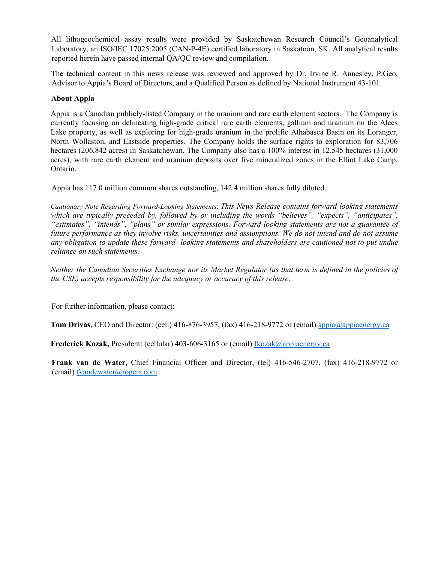All lithogeochemical assay results were provided by Saskatchewan Research Council's Geoanalytical Laboratory, an ISO/IEC 17025:2005 (CAN-P-4E) certified laboratory in Saskatoon, SK. All analytical results reported herein have passed internal QA/QC review and compilation.

The technical content in this news release was reviewed and approved by Dr. Irvine R. Annesley, P.Geo, Advisor to Appia's Board of Directors, and a Qualified Person as defined by National Instrument 43-101.

#### **About Appia**

Appia is a Canadian publicly-listed Company in the uranium and rare earth element sectors. The Company is currently focusing on delineating high-grade critical rare earth elements, gallium and uranium on the Alces Lake property, as well as exploring for high-grade uranium in the prolific Athabasca Basin on its Loranger, North Wollaston, and Eastside properties. The Company holds the surface rights to exploration for 83,706 hectares (206,842 acres) in Saskatchewan. The Company also has a 100% interest in 12,545 hectares (31,000 acres), with rare earth element and uranium deposits over five mineralized zones in the Elliot Lake Camp, Ontario.

Appia has 117.0 million common shares outstanding, 142.4 million shares fully diluted.

*Cautionary Note Regarding Forward-Looking Statements*: *This News Release contains forward-looking statements which are typically preceded by, followed by or including the words "believes", "expects", "anticipates", "estimates", "intends", "plans" or similar expressions. Forward-looking statements are not a guarantee of future performance as they involve risks, uncertainties and assumptions. We do not intend and do not assume any obligation to update these forward- looking statements and shareholders are cautioned not to put undue reliance on such statements.* 

*Neither the Canadian Securities Exchange nor its Market Regulator (as that term is defined in the policies of the CSE) accepts responsibility for the adequacy or accuracy of this release.*

For further information, please contact:

**Tom Drivas**, CEO and Director: (cell) 416-876-3957, (fax) 416-218-9772 or (email) [appia@appiaenergy.ca](mailto:appia@appiaenergy.ca)

**Frederick Kozak,** President: (cellular) 403-606-3165 or (email) [fkozak@appiaenergy.ca](mailto:fkozak@appiaenergy.ca)

**Frank van de Water**, Chief Financial Officer and Director, (tel) 416-546-2707, (fax) 416-218-9772 or (email) [fvandewater@rogers.com](mailto:fvandewater@rogers.com)